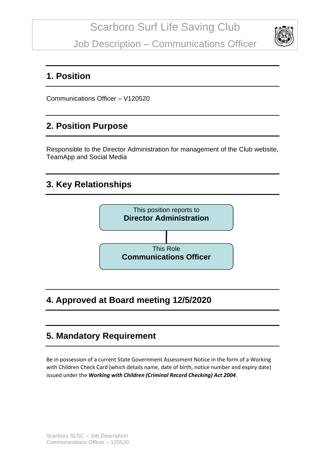Job Description – Communications Officer



#### **1. Position**

Communications Officer – V120520

#### **2. Position Purpose**

Responsible to the Director Administration for management of the Club website, TeamApp and Social Media

# **3. Key Relationships**



# **4. Approved at Board meeting 12/5/2020**

# **5. Mandatory Requirement**

Be in possession of a current State Government Assessment Notice in the form of a Working with Children Check Card (which details name, date of birth, notice number and expiry date) issued under the *Working with Children (Criminal Record Checking) Act 2004*.